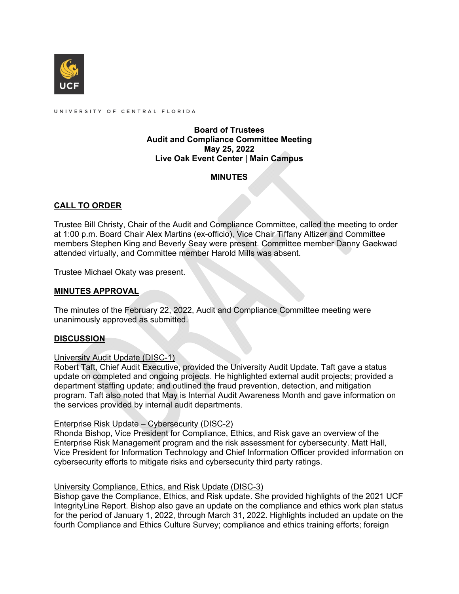

UNIVERSITY OF CENTRAL FLORIDA

### **Board of Trustees Audit and Compliance Committee Meeting May 25, 2022 Live Oak Event Center | Main Campus**

## **MINUTES**

# **CALL TO ORDER**

Trustee Bill Christy, Chair of the Audit and Compliance Committee, called the meeting to order at 1:00 p.m. Board Chair Alex Martins (ex-officio), Vice Chair Tiffany Altizer and Committee members Stephen King and Beverly Seay were present. Committee member Danny Gaekwad attended virtually, and Committee member Harold Mills was absent.

Trustee Michael Okaty was present.

## **MINUTES APPROVAL**

The minutes of the February 22, 2022, Audit and Compliance Committee meeting were unanimously approved as submitted.

#### **DISCUSSION**

#### University Audit Update (DISC-1)

Robert Taft, Chief Audit Executive, provided the University Audit Update. Taft gave a status update on completed and ongoing projects. He highlighted external audit projects; provided a department staffing update; and outlined the fraud prevention, detection, and mitigation program. Taft also noted that May is Internal Audit Awareness Month and gave information on the services provided by internal audit departments.

#### Enterprise Risk Update – Cybersecurity (DISC-2)

Rhonda Bishop, Vice President for Compliance, Ethics, and Risk gave an overview of the Enterprise Risk Management program and the risk assessment for cybersecurity. Matt Hall, Vice President for Information Technology and Chief Information Officer provided information on cybersecurity efforts to mitigate risks and cybersecurity third party ratings.

#### University Compliance, Ethics, and Risk Update (DISC-3)

Bishop gave the Compliance, Ethics, and Risk update. She provided highlights of the 2021 UCF IntegrityLine Report. Bishop also gave an update on the compliance and ethics work plan status for the period of January 1, 2022, through March 31, 2022. Highlights included an update on the fourth Compliance and Ethics Culture Survey; compliance and ethics training efforts; foreign